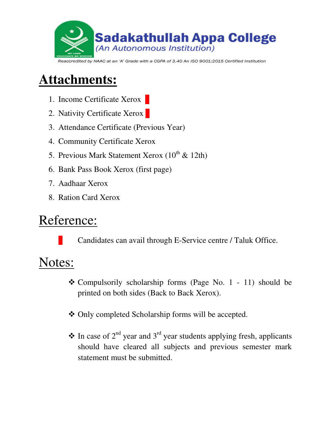

#### Reaccredited by NAAC at an 'A' Grade with a CGPA of 3.40 An ISO 9001:2015 Certified Institution

# **Attachments:**

- 1. Income Certificate Xerox
- 2. Nativity Certificate Xerox
- 3. Attendance Certificate (Previous Year)
- 4. Community Certificate Xerox
- 5. Previous Mark Statement Xerox  $(10^{th} \& 12th)$
- 6. Bank Pass Book Xerox (first page)
- 7. Aadhaar Xerox
- 8. Ration Card Xerox

### Reference:

Candidates can avail through E-Service centre / Taluk Office.

## Notes:

- Compulsorily scholarship forms (Page No. 1 11) should be printed on both sides (Back to Back Xerox).
- Only completed Scholarship forms will be accepted.
- $\triangle$  In case of 2<sup>nd</sup> year and 3<sup>rd</sup> year students applying fresh, applicants should have cleared all subjects and previous semester mark statement must be submitted.